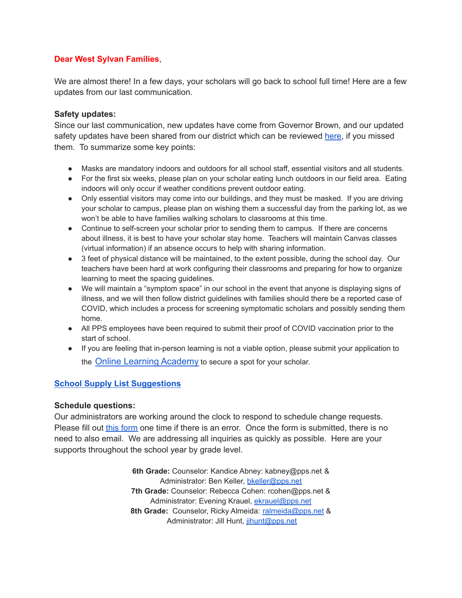## **Dear West Sylvan Families**,

We are almost there! In a few days, your scholars will go back to school full time! Here are a few updates from our last communication.

#### **Safety updates:**

Since our last communication, new updates have come from Governor Brown, and our updated safety updates have been shared from our district which can be reviewed [here,](https://www.mkt-box.com/pps/backtoschool2021) if you missed them. To summarize some key points:

- Masks are mandatory indoors and outdoors for all school staff, essential visitors and all students.
- For the first six weeks, please plan on your scholar eating lunch outdoors in our field area. Eating indoors will only occur if weather conditions prevent outdoor eating.
- Only essential visitors may come into our buildings, and they must be masked. If you are driving your scholar to campus, please plan on wishing them a successful day from the parking lot, as we won't be able to have families walking scholars to classrooms at this time.
- Continue to self-screen your scholar prior to sending them to campus. If there are concerns about illness, it is best to have your scholar stay home. Teachers will maintain Canvas classes (virtual information) if an absence occurs to help with sharing information.
- 3 feet of physical distance will be maintained, to the extent possible, during the school day. Our teachers have been hard at work configuring their classrooms and preparing for how to organize learning to meet the spacing guidelines.
- We will maintain a "symptom space" in our school in the event that anyone is displaying signs of illness, and we will then follow district guidelines with families should there be a reported case of COVID, which includes a process for screening symptomatic scholars and possibly sending them home.
- All PPS employees have been required to submit their proof of COVID vaccination prior to the start of school.
- If you are feeling that in-person learning is not a viable option, please submit your application to the [Online Learning Academy](https://vs.pps.net/ola) to secure a spot for your scholar.

## **School Supply List [Suggestions](https://drive.google.com/file/d/1Xs06J9_iZ0H2uJuQ7T5psueXB0xyRYun/view?usp=sharing)**

#### **Schedule questions:**

Our administrators are working around the clock to respond to schedule change requests. Please fill out this [form](https://forms.gle/dmEjidPt3AM2Prhe9) one time if there is an error. Once the form is submitted, there is no need to also email. We are addressing all inquiries as quickly as possible. Here are your supports throughout the school year by grade level.

> **6th Grade:** Counselor: Kandice Abney: kabney@pps.net & Administrator: Ben Keller, [bkeller@pps.net](mailto:bkeller@pps.net) **7th Grade:** Counselor: Rebecca Cohen: rcohen@pps.net & Administrator: Evening Krauel, [ekrauel@pps.net](mailto:ekrauel@pps.net) 8th Grade: Counselor, Ricky Almeida: [ralmeida@pps.net](mailto:ralmeida@pps.net) & Administrator: Jill Hunt, [jihunt@pps.net](mailto:jihunt@pps.net)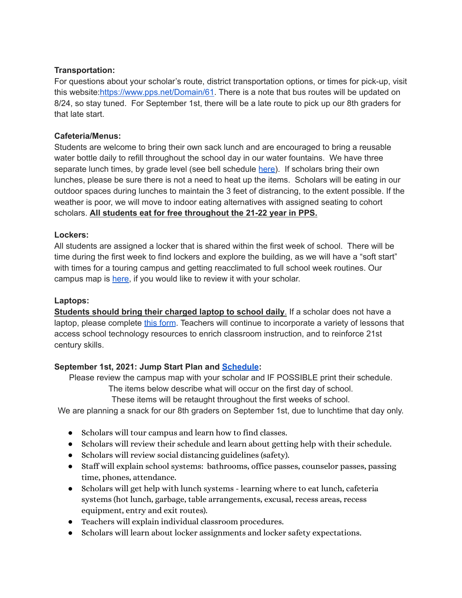## **Transportation:**

For questions about your scholar's route, district transportation options, or times for pick-up, visit this website[:https://www.pps.net/Domain/61](https://www.pps.net/Domain/61). There is a note that bus routes will be updated on 8/24, so stay tuned. For September 1st, there will be a late route to pick up our 8th graders for that late start.

# **Cafeteria/Menus:**

Students are welcome to bring their own sack lunch and are encouraged to bring a reusable water bottle daily to refill throughout the school day in our water fountains. We have three separate lunch times, by grade level (see bell schedule [here\)](https://drive.google.com/file/d/1AWgDxpfaVvuPv2-kiDvsaZEUxv1Z5NvH/view?usp=sharing). If scholars bring their own lunches, please be sure there is not a need to heat up the items. Scholars will be eating in our outdoor spaces during lunches to maintain the 3 feet of distrancing, to the extent possible. If the weather is poor, we will move to indoor eating alternatives with assigned seating to cohort scholars. **All students eat for free throughout the 21-22 year in PPS.**

# **Lockers:**

All students are assigned a locker that is shared within the first week of school. There will be time during the first week to find lockers and explore the building, as we will have a "soft start" with times for a touring campus and getting reacclimated to full school week routines. Our campus map is [here,](https://drive.google.com/file/d/1KiUClcW-JnIGs5eqPZk-aUjHHUmt8eIK/view?usp=sharing) if you would like to review it with your scholar.

## **Laptops:**

**Students should bring their charged laptop to school daily**. If a scholar does not have a laptop, please complete this [form](https://forms.gle/jhGDZtgjB1aotPZq5). Teachers will continue to incorporate a variety of lessons that access school technology resources to enrich classroom instruction, and to reinforce 21st century skills.

# **September 1st, 2021: Jump Start Plan and [Schedule](https://drive.google.com/file/d/1osKIjZfE4bIUrEcr0CRXVOAvD_S_Envh/view?usp=sharing):**

Please review the campus map with your scholar and IF POSSIBLE print their schedule.

The items below describe what will occur on the first day of school.

These items will be retaught throughout the first weeks of school.

We are planning a snack for our 8th graders on September 1st, due to lunchtime that day only.

- Scholars will tour campus and learn how to find classes.
- Scholars will review their schedule and learn about getting help with their schedule.
- Scholars will review social distancing guidelines (safety).
- Staff will explain school systems: bathrooms, office passes, counselor passes, passing time, phones, attendance.
- Scholars will get help with lunch systems learning where to eat lunch, cafeteria systems (hot lunch, garbage, table arrangements, excusal, recess areas, recess equipment, entry and exit routes).
- Teachers will explain individual classroom procedures.
- Scholars will learn about locker assignments and locker safety expectations.